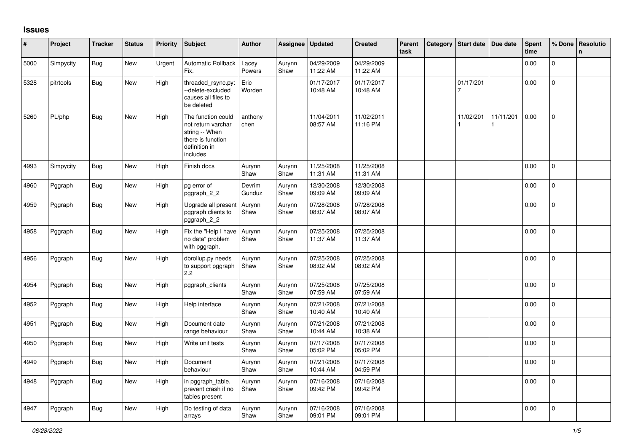## **Issues**

| #    | Project   | <b>Tracker</b> | <b>Status</b> | <b>Priority</b> | Subject                                                                                                      | <b>Author</b>    | Assignee       | <b>Updated</b>         | <b>Created</b>         | Parent<br>task | Category   Start date   Due date |                | Spent<br>time | % Done         | Resolutio<br>n. |
|------|-----------|----------------|---------------|-----------------|--------------------------------------------------------------------------------------------------------------|------------------|----------------|------------------------|------------------------|----------------|----------------------------------|----------------|---------------|----------------|-----------------|
| 5000 | Simpycity | <b>Bug</b>     | <b>New</b>    | Urgent          | <b>Automatic Rollback</b><br>Fix.                                                                            | Lacey<br>Powers  | Aurynn<br>Shaw | 04/29/2009<br>11:22 AM | 04/29/2009<br>11:22 AM |                |                                  |                | 0.00          | $\mathbf 0$    |                 |
| 5328 | pitrtools | Bug            | <b>New</b>    | High            | threaded_rsync.py:<br>--delete-excluded<br>causes all files to<br>be deleted                                 | Eric<br>Worden   |                | 01/17/2017<br>10:48 AM | 01/17/2017<br>10:48 AM |                | 01/17/201<br>7                   |                | 0.00          | $\mathbf 0$    |                 |
| 5260 | PL/php    | Bug            | New           | High            | The function could<br>not return varchar<br>string -- When<br>there is function<br>definition in<br>includes | anthony<br>chen  |                | 11/04/2011<br>08:57 AM | 11/02/2011<br>11:16 PM |                | 11/02/201                        | 11/11/201<br>1 | 0.00          | $\mathbf 0$    |                 |
| 4993 | Simpycity | <b>Bug</b>     | New           | High            | Finish docs                                                                                                  | Aurynn<br>Shaw   | Aurynn<br>Shaw | 11/25/2008<br>11:31 AM | 11/25/2008<br>11:31 AM |                |                                  |                | 0.00          | $\mathbf 0$    |                 |
| 4960 | Pggraph   | Bug            | New           | High            | pg error of<br>pggraph 2 2                                                                                   | Devrim<br>Gunduz | Aurynn<br>Shaw | 12/30/2008<br>09:09 AM | 12/30/2008<br>09:09 AM |                |                                  |                | 0.00          | $\mathbf 0$    |                 |
| 4959 | Pggraph   | Bug            | New           | High            | Upgrade all present<br>pggraph clients to<br>pggraph_2_2                                                     | Aurynn<br>Shaw   | Aurynn<br>Shaw | 07/28/2008<br>08:07 AM | 07/28/2008<br>08:07 AM |                |                                  |                | 0.00          | $\mathsf{O}$   |                 |
| 4958 | Pggraph   | <b>Bug</b>     | <b>New</b>    | High            | Fix the "Help I have<br>no data" problem<br>with pggraph.                                                    | Aurynn<br>Shaw   | Aurynn<br>Shaw | 07/25/2008<br>11:37 AM | 07/25/2008<br>11:37 AM |                |                                  |                | 0.00          | $\mathbf 0$    |                 |
| 4956 | Pggraph   | Bug            | New           | High            | dbrollup.py needs<br>to support pggraph<br>2.2                                                               | Aurynn<br>Shaw   | Aurynn<br>Shaw | 07/25/2008<br>08:02 AM | 07/25/2008<br>08:02 AM |                |                                  |                | 0.00          | 0              |                 |
| 4954 | Pggraph   | Bug            | New           | High            | pggraph_clients                                                                                              | Aurynn<br>Shaw   | Aurynn<br>Shaw | 07/25/2008<br>07:59 AM | 07/25/2008<br>07:59 AM |                |                                  |                | 0.00          | $\overline{0}$ |                 |
| 4952 | Pggraph   | Bug            | New           | High            | Help interface                                                                                               | Aurynn<br>Shaw   | Aurynn<br>Shaw | 07/21/2008<br>10:40 AM | 07/21/2008<br>10:40 AM |                |                                  |                | 0.00          | $\overline{0}$ |                 |
| 4951 | Pggraph   | <b>Bug</b>     | <b>New</b>    | High            | Document date<br>range behaviour                                                                             | Aurynn<br>Shaw   | Aurynn<br>Shaw | 07/21/2008<br>10:44 AM | 07/21/2008<br>10:38 AM |                |                                  |                | 0.00          | $\mathbf 0$    |                 |
| 4950 | Pggraph   | <b>Bug</b>     | <b>New</b>    | High            | Write unit tests                                                                                             | Aurynn<br>Shaw   | Aurynn<br>Shaw | 07/17/2008<br>05:02 PM | 07/17/2008<br>05:02 PM |                |                                  |                | 0.00          | $\mathbf{0}$   |                 |
| 4949 | Pggraph   | Bug            | New           | High            | Document<br>behaviour                                                                                        | Aurynn<br>Shaw   | Aurynn<br>Shaw | 07/21/2008<br>10:44 AM | 07/17/2008<br>04:59 PM |                |                                  |                | 0.00          | $\pmb{0}$      |                 |
| 4948 | Pggraph   | <b>Bug</b>     | New           | High            | in pggraph_table,<br>prevent crash if no<br>tables present                                                   | Aurynn<br>Shaw   | Aurynn<br>Shaw | 07/16/2008<br>09:42 PM | 07/16/2008<br>09:42 PM |                |                                  |                | 0.00          | 0              |                 |
| 4947 | Pggraph   | <b>Bug</b>     | New           | High            | Do testing of data<br>arrays                                                                                 | Aurynn<br>Shaw   | Aurynn<br>Shaw | 07/16/2008<br>09:01 PM | 07/16/2008<br>09:01 PM |                |                                  |                | 0.00          | $\overline{0}$ |                 |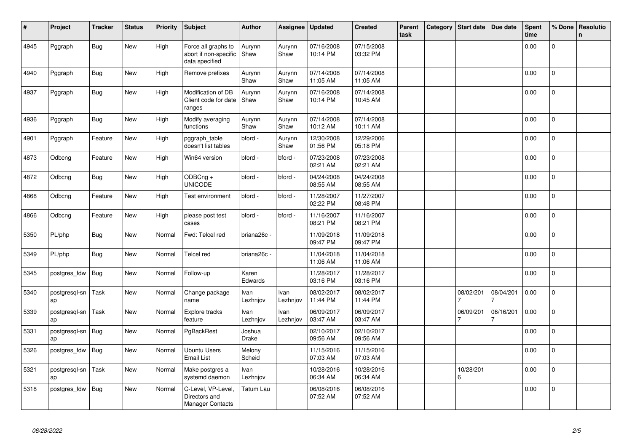| #    | Project             | <b>Tracker</b> | <b>Status</b> | Priority | Subject                                                        | <b>Author</b>    | Assignee         | <b>Updated</b>         | <b>Created</b>         | <b>Parent</b><br>task | Category | Start date     | Due date  | Spent<br>time | % Done         | Resolutio<br>$\mathsf{n}$ |
|------|---------------------|----------------|---------------|----------|----------------------------------------------------------------|------------------|------------------|------------------------|------------------------|-----------------------|----------|----------------|-----------|---------------|----------------|---------------------------|
| 4945 | Pggraph             | <b>Bug</b>     | New           | High     | Force all graphs to<br>abort if non-specific<br>data specified | Aurynn<br>Shaw   | Aurynn<br>Shaw   | 07/16/2008<br>10:14 PM | 07/15/2008<br>03:32 PM |                       |          |                |           | 0.00          | $\overline{0}$ |                           |
| 4940 | Pggraph             | <b>Bug</b>     | <b>New</b>    | High     | Remove prefixes                                                | Aurynn<br>Shaw   | Aurynn<br>Shaw   | 07/14/2008<br>11:05 AM | 07/14/2008<br>11:05 AM |                       |          |                |           | 0.00          | $\Omega$       |                           |
| 4937 | Pggraph             | <b>Bug</b>     | New           | High     | Modification of DB<br>Client code for date<br>ranges           | Aurynn<br>Shaw   | Aurynn<br>Shaw   | 07/16/2008<br>10:14 PM | 07/14/2008<br>10:45 AM |                       |          |                |           | 0.00          | $\mathbf 0$    |                           |
| 4936 | Pggraph             | <b>Bug</b>     | <b>New</b>    | High     | Modify averaging<br>functions                                  | Aurynn<br>Shaw   | Aurynn<br>Shaw   | 07/14/2008<br>10:12 AM | 07/14/2008<br>10:11 AM |                       |          |                |           | 0.00          | $\Omega$       |                           |
| 4901 | Pggraph             | Feature        | New           | High     | pggraph_table<br>doesn't list tables                           | bford -          | Aurynn<br>Shaw   | 12/30/2008<br>01:56 PM | 12/29/2006<br>05:18 PM |                       |          |                |           | 0.00          | $\mathbf 0$    |                           |
| 4873 | Odbcng              | Feature        | New           | High     | Win64 version                                                  | bford -          | bford -          | 07/23/2008<br>02:21 AM | 07/23/2008<br>02:21 AM |                       |          |                |           | 0.00          | $\mathbf{0}$   |                           |
| 4872 | Odbcng              | <b>Bug</b>     | <b>New</b>    | High     | ODBCng +<br><b>UNICODE</b>                                     | bford -          | bford -          | 04/24/2008<br>08:55 AM | 04/24/2008<br>08:55 AM |                       |          |                |           | 0.00          | 0              |                           |
| 4868 | Odbcng              | Feature        | New           | High     | Test environment                                               | bford -          | bford -          | 11/28/2007<br>02:22 PM | 11/27/2007<br>08:48 PM |                       |          |                |           | 0.00          | $\mathbf 0$    |                           |
| 4866 | Odbcng              | Feature        | New           | High     | please post test<br>cases                                      | bford -          | bford -          | 11/16/2007<br>08:21 PM | 11/16/2007<br>08:21 PM |                       |          |                |           | 0.00          | 0              |                           |
| 5350 | PL/php              | <b>Bug</b>     | <b>New</b>    | Normal   | Fwd: Telcel red                                                | briana26c -      |                  | 11/09/2018<br>09:47 PM | 11/09/2018<br>09:47 PM |                       |          |                |           | 0.00          | $\Omega$       |                           |
| 5349 | PL/php              | <b>Bug</b>     | <b>New</b>    | Normal   | Telcel red                                                     | briana26c -      |                  | 11/04/2018<br>11:06 AM | 11/04/2018<br>11:06 AM |                       |          |                |           | 0.00          | $\Omega$       |                           |
| 5345 | postgres_fdw        | Bug            | New           | Normal   | Follow-up                                                      | Karen<br>Edwards |                  | 11/28/2017<br>03:16 PM | 11/28/2017<br>03:16 PM |                       |          |                |           | 0.00          | 0              |                           |
| 5340 | postgresql-sn<br>ap | Task           | New           | Normal   | Change package<br>name                                         | Ivan<br>Lezhnjov | Ivan<br>Lezhnjov | 08/02/2017<br>11:44 PM | 08/02/2017<br>11:44 PM |                       |          | 08/02/201      | 08/04/201 | 0.00          | $\overline{0}$ |                           |
| 5339 | postgresql-sn<br>ap | Task           | <b>New</b>    | Normal   | Explore tracks<br>feature                                      | Ivan<br>Lezhnjov | Ivan<br>Lezhnjov | 06/09/2017<br>03:47 AM | 06/09/2017<br>03:47 AM |                       |          | 06/09/201      | 06/16/201 | 0.00          | $\mathbf 0$    |                           |
| 5331 | postgresql-sn<br>ap | <b>Bug</b>     | New           | Normal   | PgBackRest                                                     | Joshua<br>Drake  |                  | 02/10/2017<br>09:56 AM | 02/10/2017<br>09:56 AM |                       |          |                |           | 0.00          | $\Omega$       |                           |
| 5326 | postgres fdw        | Bug            | New           | Normal   | <b>Ubuntu Users</b><br><b>Email List</b>                       | Melony<br>Scheid |                  | 11/15/2016<br>07:03 AM | 11/15/2016<br>07:03 AM |                       |          |                |           | 0.00          | $\overline{0}$ |                           |
| 5321 | postgresql-sn<br>ap | Task           | <b>New</b>    | Normal   | Make postgres a<br>systemd daemon                              | Ivan<br>Lezhnjov |                  | 10/28/2016<br>06:34 AM | 10/28/2016<br>06:34 AM |                       |          | 10/28/201<br>6 |           | 0.00          | 0              |                           |
| 5318 | postgres_fdw        | <b>Bug</b>     | New           | Normal   | C-Level, VP-Level,<br>Directors and<br><b>Manager Contacts</b> | Tatum Lau        |                  | 06/08/2016<br>07:52 AM | 06/08/2016<br>07:52 AM |                       |          |                |           | 0.00          | 0              |                           |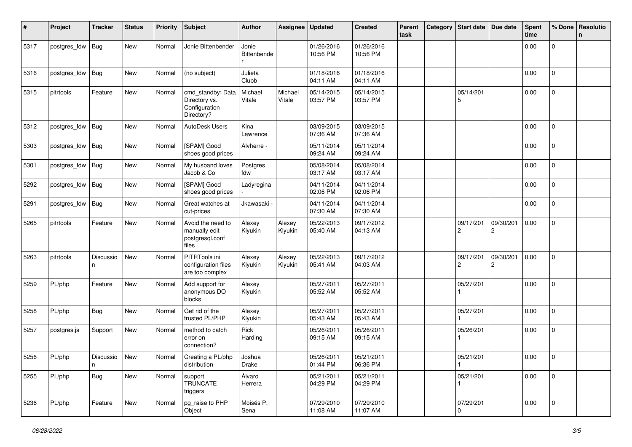| #    | Project      | <b>Tracker</b>   | <b>Status</b> | <b>Priority</b> | <b>Subject</b>                                                    | <b>Author</b>        | Assignee          | <b>Updated</b>         | <b>Created</b>         | Parent<br>task | Category | <b>Start date</b>           | Due date       | <b>Spent</b><br>time | % Done              | Resolutio<br>n |
|------|--------------|------------------|---------------|-----------------|-------------------------------------------------------------------|----------------------|-------------------|------------------------|------------------------|----------------|----------|-----------------------------|----------------|----------------------|---------------------|----------------|
| 5317 | postgres_fdw | <b>Bug</b>       | New           | Normal          | Jonie Bittenbender                                                | Jonie<br>Bittenbende |                   | 01/26/2016<br>10:56 PM | 01/26/2016<br>10:56 PM |                |          |                             |                | 0.00                 | 0                   |                |
| 5316 | postgres_fdw | <b>Bug</b>       | New           | Normal          | (no subject)                                                      | Julieta<br>Clubb     |                   | 01/18/2016<br>04:11 AM | 01/18/2016<br>04:11 AM |                |          |                             |                | 0.00                 | $\mathbf 0$         |                |
| 5315 | pitrtools    | Feature          | New           | Normal          | cmd_standby: Data<br>Directory vs.<br>Configuration<br>Directory? | Michael<br>Vitale    | Michael<br>Vitale | 05/14/2015<br>03:57 PM | 05/14/2015<br>03:57 PM |                |          | 05/14/201<br>5              |                | 0.00                 | $\mathbf 0$         |                |
| 5312 | postgres_fdw | <b>Bug</b>       | New           | Normal          | <b>AutoDesk Users</b>                                             | Kina<br>Lawrence     |                   | 03/09/2015<br>07:36 AM | 03/09/2015<br>07:36 AM |                |          |                             |                | 0.00                 | $\mathbf{0}$        |                |
| 5303 | postgres_fdw | Bug              | New           | Normal          | [SPAM] Good<br>shoes good prices                                  | Alvherre -           |                   | 05/11/2014<br>09:24 AM | 05/11/2014<br>09:24 AM |                |          |                             |                | 0.00                 | $\overline{0}$      |                |
| 5301 | postgres_fdw | <b>Bug</b>       | New           | Normal          | My husband loves<br>Jacob & Co                                    | Postgres<br>fdw      |                   | 05/08/2014<br>03:17 AM | 05/08/2014<br>03:17 AM |                |          |                             |                | 0.00                 | 0                   |                |
| 5292 | postgres_fdw | Bug              | New           | Normal          | [SPAM] Good<br>shoes good prices                                  | Ladyregina           |                   | 04/11/2014<br>02:06 PM | 04/11/2014<br>02:06 PM |                |          |                             |                | 0.00                 | 0                   |                |
| 5291 | postgres_fdw | Bug              | New           | Normal          | Great watches at<br>cut-prices                                    | Jkawasaki -          |                   | 04/11/2014<br>07:30 AM | 04/11/2014<br>07:30 AM |                |          |                             |                | 0.00                 | $\mathbf 0$         |                |
| 5265 | pitrtools    | Feature          | New           | Normal          | Avoid the need to<br>manually edit<br>postgresql.conf<br>files    | Alexey<br>Klyukin    | Alexey<br>Klyukin | 05/22/2013<br>05:40 AM | 09/17/2012<br>04:13 AM |                |          | 09/17/201<br>$\overline{c}$ | 09/30/201<br>2 | 0.00                 | $\mathbf{0}$        |                |
| 5263 | pitrtools    | Discussio<br>n.  | New           | Normal          | PITRTools ini<br>configuration files<br>are too complex           | Alexey<br>Klyukin    | Alexey<br>Klyukin | 05/22/2013<br>05:41 AM | 09/17/2012<br>04:03 AM |                |          | 09/17/201<br>2              | 09/30/201<br>2 | 0.00                 | 0                   |                |
| 5259 | PL/php       | Feature          | New           | Normal          | Add support for<br>anonymous DO<br>blocks.                        | Alexey<br>Klyukin    |                   | 05/27/2011<br>05:52 AM | 05/27/2011<br>05:52 AM |                |          | 05/27/201                   |                | 0.00                 | 0                   |                |
| 5258 | PL/php       | <b>Bug</b>       | New           | Normal          | Get rid of the<br>trusted PL/PHP                                  | Alexey<br>Klyukin    |                   | 05/27/2011<br>05:43 AM | 05/27/2011<br>05:43 AM |                |          | 05/27/201                   |                | 0.00                 | $\mathbf 0$         |                |
| 5257 | postgres.js  | Support          | New           | Normal          | method to catch<br>error on<br>connection?                        | Rick<br>Harding      |                   | 05/26/2011<br>09:15 AM | 05/26/2011<br>09:15 AM |                |          | 05/26/201                   |                | 0.00                 | 0                   |                |
| 5256 | PL/php       | Discussio  <br>n | New           | Normal          | Creating a PL/php<br>distribution                                 | Joshua<br>Drake      |                   | 05/26/2011<br>01:44 PM | 05/21/2011<br>06:36 PM |                |          | 05/21/201                   |                | 0.00                 | 0                   |                |
| 5255 | PL/php       | Bug              | New           | Normal          | support<br><b>TRUNCATE</b><br>triggers                            | Álvaro<br>Herrera    |                   | 05/21/2011<br>04:29 PM | 05/21/2011<br>04:29 PM |                |          | 05/21/201                   |                | 0.00                 | $\mathsf{O}\xspace$ |                |
| 5236 | PL/php       | Feature          | New           | Normal          | pg_raise to PHP<br>Object                                         | Moisés P.<br>Sena    |                   | 07/29/2010<br>11:08 AM | 07/29/2010<br>11:07 AM |                |          | 07/29/201<br>0              |                | 0.00                 | l o                 |                |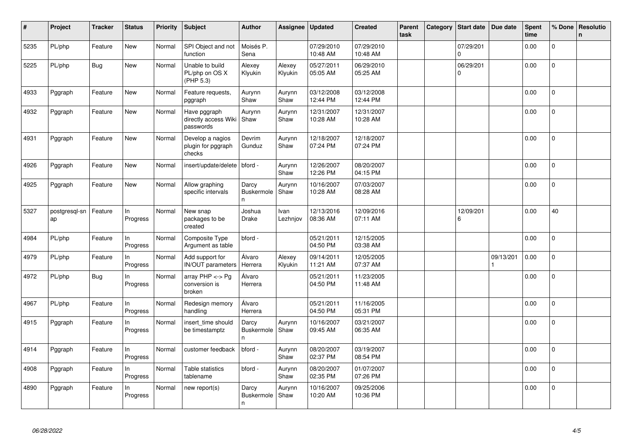| #    | Project             | <b>Tracker</b> | <b>Status</b>   | Priority | Subject                                                | <b>Author</b>                    | Assignee          | <b>Updated</b>         | <b>Created</b>         | <b>Parent</b><br>task | Category | <b>Start date</b>     | Due date  | <b>Spent</b><br>time | % Done         | Resolutio<br>$\mathsf{n}$ |
|------|---------------------|----------------|-----------------|----------|--------------------------------------------------------|----------------------------------|-------------------|------------------------|------------------------|-----------------------|----------|-----------------------|-----------|----------------------|----------------|---------------------------|
| 5235 | PL/php              | Feature        | New             | Normal   | SPI Object and not<br>function                         | Moisés P.<br>Sena                |                   | 07/29/2010<br>10:48 AM | 07/29/2010<br>10:48 AM |                       |          | 07/29/201<br>$\Omega$ |           | 0.00                 | 0              |                           |
| 5225 | PL/php              | <b>Bug</b>     | New             | Normal   | Unable to build<br>PL/php on OS X<br>(PHP 5.3)         | Alexey<br>Klyukin                | Alexey<br>Klyukin | 05/27/2011<br>05:05 AM | 06/29/2010<br>05:25 AM |                       |          | 06/29/201<br>$\Omega$ |           | 0.00                 | $\mathsf{O}$   |                           |
| 4933 | Pggraph             | Feature        | <b>New</b>      | Normal   | Feature requests,<br>pggraph                           | Aurynn<br>Shaw                   | Aurynn<br>Shaw    | 03/12/2008<br>12:44 PM | 03/12/2008<br>12:44 PM |                       |          |                       |           | 0.00                 | $\mathbf 0$    |                           |
| 4932 | Pggraph             | Feature        | New             | Normal   | Have pggraph<br>directly access Wiki Shaw<br>passwords | Aurynn                           | Aurynn<br>Shaw    | 12/31/2007<br>10:28 AM | 12/31/2007<br>10:28 AM |                       |          |                       |           | 0.00                 | 0              |                           |
| 4931 | Pggraph             | Feature        | New             | Normal   | Develop a nagios<br>plugin for pggraph<br>checks       | Devrim<br>Gunduz                 | Aurynn<br>Shaw    | 12/18/2007<br>07:24 PM | 12/18/2007<br>07:24 PM |                       |          |                       |           | 0.00                 | $\overline{0}$ |                           |
| 4926 | Pggraph             | Feature        | <b>New</b>      | Normal   | insert/update/delete   bford -                         |                                  | Aurynn<br>Shaw    | 12/26/2007<br>12:26 PM | 08/20/2007<br>04:15 PM |                       |          |                       |           | 0.00                 | $\Omega$       |                           |
| 4925 | Pggraph             | Feature        | <b>New</b>      | Normal   | Allow graphing<br>specific intervals                   | Darcy<br><b>Buskermole</b><br>n  | Aurynn<br>Shaw    | 10/16/2007<br>10:28 AM | 07/03/2007<br>08:28 AM |                       |          |                       |           | 0.00                 | $\overline{0}$ |                           |
| 5327 | postgresql-sn<br>ap | Feature        | ln.<br>Progress | Normal   | New snap<br>packages to be<br>created                  | Joshua<br>Drake                  | Ivan<br>Lezhnjov  | 12/13/2016<br>08:36 AM | 12/09/2016<br>07:11 AM |                       |          | 12/09/201<br>6        |           | 0.00                 | 40             |                           |
| 4984 | PL/php              | Feature        | ln.<br>Progress | Normal   | Composite Type<br>Argument as table                    | bford -                          |                   | 05/21/2011<br>04:50 PM | 12/15/2005<br>03:38 AM |                       |          |                       |           | 0.00                 | $\Omega$       |                           |
| 4979 | PL/php              | Feature        | In<br>Progress  | Normal   | Add support for<br><b>IN/OUT</b> parameters            | Álvaro<br>Herrera                | Alexey<br>Klyukin | 09/14/2011<br>11:21 AM | 12/05/2005<br>07:37 AM |                       |          |                       | 09/13/201 | 0.00                 | 0              |                           |
| 4972 | PL/php              | Bug            | ln.<br>Progress | Normal   | array $PHP \lt\gt Pg$<br>conversion is<br>broken       | Álvaro<br>Herrera                |                   | 05/21/2011<br>04:50 PM | 11/23/2005<br>11:48 AM |                       |          |                       |           | 0.00                 | $\overline{0}$ |                           |
| 4967 | PL/php              | Feature        | ln.<br>Progress | Normal   | Redesign memory<br>handling                            | Álvaro<br>Herrera                |                   | 05/21/2011<br>04:50 PM | 11/16/2005<br>05:31 PM |                       |          |                       |           | 0.00                 | 0              |                           |
| 4915 | Pggraph             | Feature        | In<br>Progress  | Normal   | insert time should<br>be timestamptz                   | Darcy<br><b>Buskermole</b><br>n. | Aurynn<br>Shaw    | 10/16/2007<br>09:45 AM | 03/21/2007<br>06:35 AM |                       |          |                       |           | 0.00                 | $\Omega$       |                           |
| 4914 | Pggraph             | Feature        | ln.<br>Progress | Normal   | customer feedback                                      | bford -                          | Aurynn<br>Shaw    | 08/20/2007<br>02:37 PM | 03/19/2007<br>08:54 PM |                       |          |                       |           | 0.00                 | $\overline{0}$ |                           |
| 4908 | Pggraph             | Feature        | In<br>Progress  | Normal   | Table statistics<br>tablename                          | bford -                          | Aurynn<br>Shaw    | 08/20/2007<br>02:35 PM | 01/07/2007<br>07:26 PM |                       |          |                       |           | 0.00                 | $\Omega$       |                           |
| 4890 | Pggraph             | Feature        | In<br>Progress  | Normal   | new report(s)                                          | Darcy<br>Buskermole<br>n         | Aurynn<br>Shaw    | 10/16/2007<br>10:20 AM | 09/25/2006<br>10:36 PM |                       |          |                       |           | 0.00                 | $\overline{0}$ |                           |